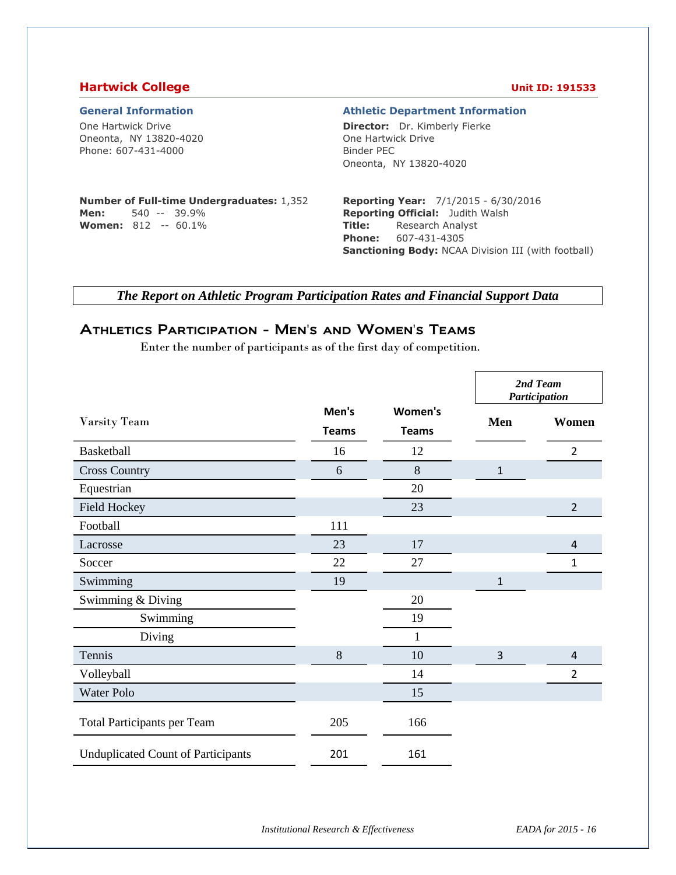## **Hartwick College Unit ID: 191533**

| <b>General Information</b> |  |
|----------------------------|--|
|----------------------------|--|

One Hartwick Drive Oneonta, NY 13820-4020 Phone: 607-431-4000

#### **General Information Athletic Department Information**

**Director:** Dr. Kimberly Fierke One Hartwick Drive Binder PEC Oneonta, NY 13820-4020

### **Number of Full-time Undergraduates:** 1,352 **Men:** 540 -- 39.9%

**Women:** 812 -- 60.1%

### **Reporting Year:** 7/1/2015 - 6/30/2016 **Reporting Official:** Judith Walsh **Title:** Research Analyst **Phone:** 607-431-4305 **Sanctioning Body:** NCAA Division III (with football)

*The Report on Athletic Program Participation Rates and Financial Support Data*

# Athletics Participation - Men's and Women's Teams

Enter the number of participants as of the first day of competition.

|                                           |                       |                         |              | 2nd Team<br>Participation |
|-------------------------------------------|-----------------------|-------------------------|--------------|---------------------------|
| Varsity Team                              | Men's<br><b>Teams</b> | Women's<br><b>Teams</b> | Men          | Women                     |
| Basketball                                | 16                    | 12                      |              | $\overline{2}$            |
| <b>Cross Country</b>                      | 6                     | $\,8\,$                 | $\mathbf{1}$ |                           |
| Equestrian                                |                       | 20                      |              |                           |
| <b>Field Hockey</b>                       |                       | 23                      |              | $\overline{2}$            |
| Football                                  | 111                   |                         |              |                           |
| Lacrosse                                  | 23                    | 17                      |              | $\overline{4}$            |
| Soccer                                    | 22                    | 27                      |              | 1                         |
| Swimming                                  | 19                    |                         | 1            |                           |
| Swimming & Diving                         |                       | 20                      |              |                           |
| Swimming                                  |                       | 19                      |              |                           |
| Diving                                    |                       | $\mathbf{1}$            |              |                           |
| Tennis                                    | 8                     | 10                      | 3            | $\overline{4}$            |
| Volleyball                                |                       | 14                      |              | $\overline{2}$            |
| Water Polo                                |                       | 15                      |              |                           |
| Total Participants per Team               | 205                   | 166                     |              |                           |
| <b>Unduplicated Count of Participants</b> | 201                   | 161                     |              |                           |

*Institutional Research & Effectiveness EADA for 2015 - 16*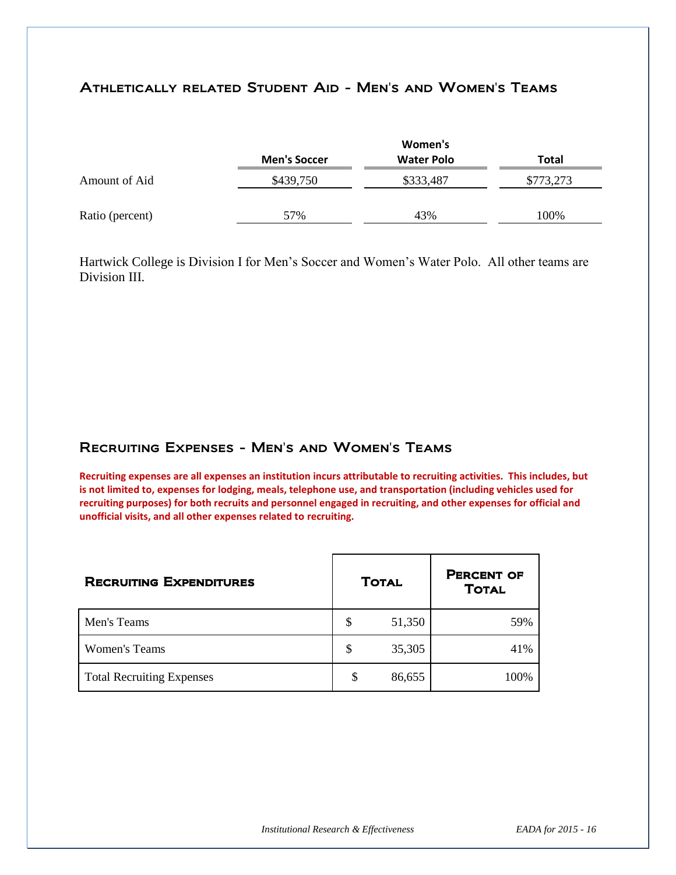# Athletically related Student Aid - Men's and Women's Teams

|                 |                     | Women's           |           |
|-----------------|---------------------|-------------------|-----------|
|                 | <b>Men's Soccer</b> | <b>Water Polo</b> | Total     |
| Amount of Aid   | \$439,750           | \$333,487         | \$773,273 |
| Ratio (percent) | 57%                 | 43%               | 100%      |

Hartwick College is Division I for Men's Soccer and Women's Water Polo. All other teams are Division III.

## Recruiting Expenses - Men's and Women's Teams

**Recruiting expenses are all expenses an institution incurs attributable to recruiting activities. This includes, but is not limited to, expenses for lodging, meals, telephone use, and transportation (including vehicles used for recruiting purposes) for both recruits and personnel engaged in recruiting, and other expenses for official and unofficial visits, and all other expenses related to recruiting.** 

| <b>RECRUITING EXPENDITURES</b>   | <b>TOTAL</b> | <b>PERCENT OF</b><br><b>TOTAL</b> |
|----------------------------------|--------------|-----------------------------------|
| Men's Teams                      | \$<br>51,350 | 59%                               |
| <b>Women's Teams</b>             | \$<br>35,305 | 41%                               |
| <b>Total Recruiting Expenses</b> | \$<br>86,655 | 100%                              |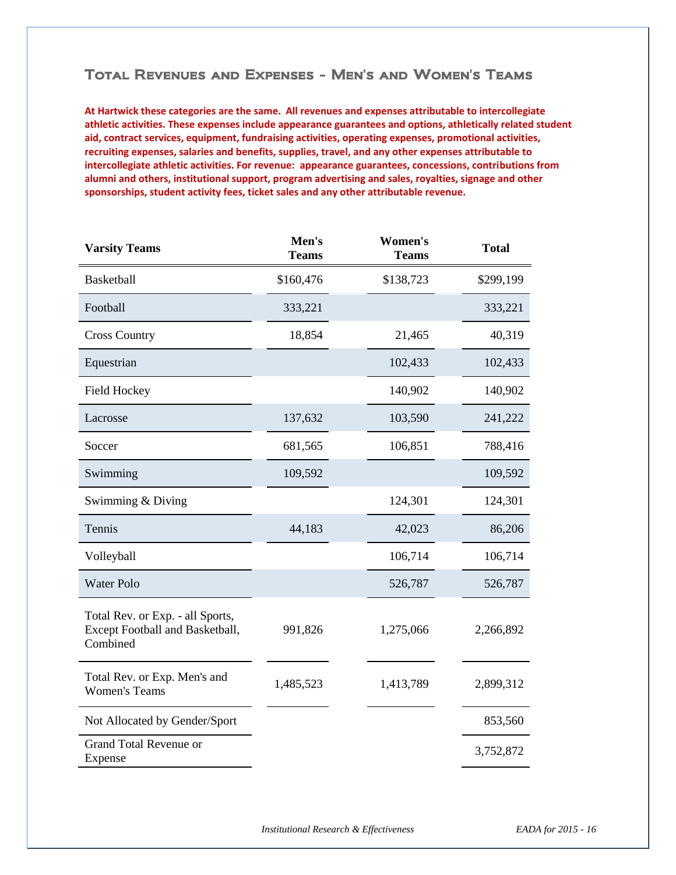## Total Revenues and Expenses - Men's and Women's Teams

**At Hartwick these categories are the same. All revenues and expenses attributable to intercollegiate athletic activities. These expenses include appearance guarantees and options, athletically related student aid, contract services, equipment, fundraising activities, operating expenses, promotional activities, recruiting expenses, salaries and benefits, supplies, travel, and any other expenses attributable to intercollegiate athletic activities. For revenue: appearance guarantees, concessions, contributions from alumni and others, institutional support, program advertising and sales, royalties, signage and other sponsorships, student activity fees, ticket sales and any other attributable revenue.**

| <b>Varsity Teams</b>                                                            | Men's<br><b>Teams</b> | Women's<br><b>Teams</b> | <b>Total</b> |
|---------------------------------------------------------------------------------|-----------------------|-------------------------|--------------|
| <b>Basketball</b>                                                               | \$160,476             | \$138,723               | \$299,199    |
| Football                                                                        | 333,221               |                         | 333,221      |
| <b>Cross Country</b>                                                            | 18,854                | 21,465                  | 40,319       |
| Equestrian                                                                      |                       | 102,433                 | 102,433      |
| <b>Field Hockey</b>                                                             |                       | 140,902                 | 140,902      |
| Lacrosse                                                                        | 137,632               | 103,590                 | 241,222      |
| Soccer                                                                          | 681,565               | 106,851                 | 788,416      |
| Swimming                                                                        | 109,592               |                         | 109,592      |
| Swimming & Diving                                                               |                       | 124,301                 | 124,301      |
| Tennis                                                                          | 44,183                | 42,023                  | 86,206       |
| Volleyball                                                                      |                       | 106,714                 | 106,714      |
| <b>Water Polo</b>                                                               |                       | 526,787                 | 526,787      |
| Total Rev. or Exp. - all Sports,<br>Except Football and Basketball,<br>Combined | 991,826               | 1,275,066               | 2,266,892    |
| Total Rev. or Exp. Men's and<br><b>Women's Teams</b>                            | 1,485,523             | 1,413,789               | 2,899,312    |
| Not Allocated by Gender/Sport                                                   |                       |                         | 853,560      |
| <b>Grand Total Revenue or</b><br>Expense                                        |                       |                         | 3,752,872    |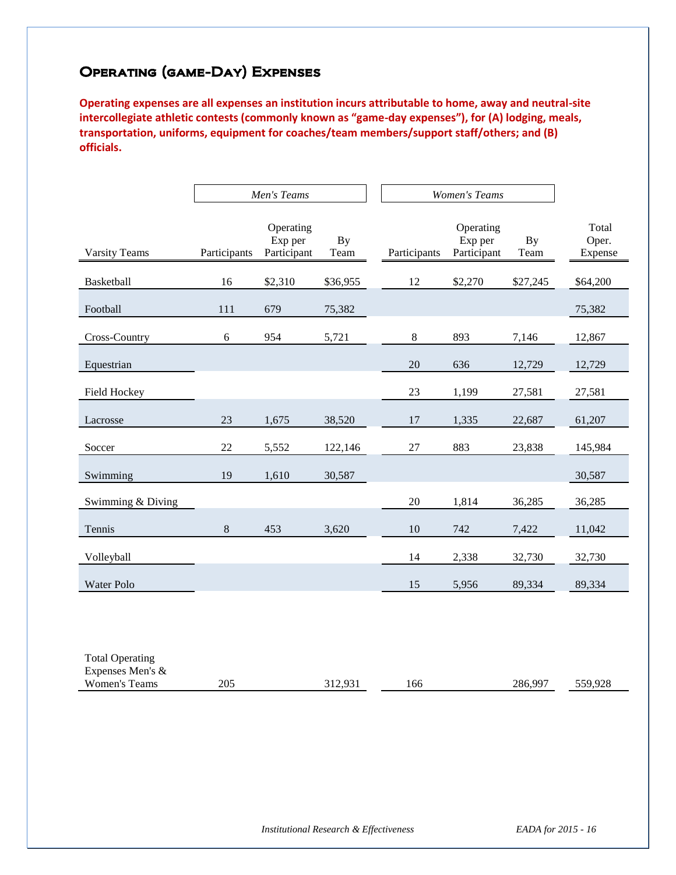# Operating (game-Day) Expenses

**Operating expenses are all expenses an institution incurs attributable to home, away and neutral-site intercollegiate athletic contests (commonly known as "game-day expenses"), for (A) lodging, meals, transportation, uniforms, equipment for coaches/team members/support staff/others; and (B) officials.**

|                        |              | Men's Teams                         |                   | <b>Women's Teams</b> |                                     |                   |                           |
|------------------------|--------------|-------------------------------------|-------------------|----------------------|-------------------------------------|-------------------|---------------------------|
| <b>Varsity Teams</b>   | Participants | Operating<br>Exp per<br>Participant | <b>By</b><br>Team | Participants         | Operating<br>Exp per<br>Participant | <b>By</b><br>Team | Total<br>Oper.<br>Expense |
| Basketball             | 16           | \$2,310                             | \$36,955          | 12                   | \$2,270                             | \$27,245          | \$64,200                  |
| Football               | 111          | 679                                 | 75,382            |                      |                                     |                   | 75,382                    |
| Cross-Country          | 6            | 954                                 | 5,721             | $\,8\,$              | 893                                 | 7,146             | 12,867                    |
| Equestrian             |              |                                     |                   | 20                   | 636                                 | 12,729            | 12,729                    |
| Field Hockey           |              |                                     |                   | 23                   | 1,199                               | 27,581            | 27,581                    |
| Lacrosse               | 23           | 1,675                               | 38,520            | 17                   | 1,335                               | 22,687            | 61,207                    |
| Soccer                 | 22           | 5,552                               | 122,146           | 27                   | 883                                 | 23,838            | 145,984                   |
| Swimming               | 19           | 1,610                               | 30,587            |                      |                                     |                   | 30,587                    |
| Swimming & Diving      |              |                                     |                   | 20                   | 1,814                               | 36,285            | 36,285                    |
| Tennis                 | $\,8\,$      | 453                                 | 3,620             | 10                   | 742                                 | 7,422             | 11,042                    |
| Volleyball             |              |                                     |                   | 14                   | 2,338                               | 32,730            | 32,730                    |
| Water Polo             |              |                                     |                   | 15                   | 5,956                               | 89,334            | 89,334                    |
|                        |              |                                     |                   |                      |                                     |                   |                           |
|                        |              |                                     |                   |                      |                                     |                   |                           |
| <b>Total Operating</b> |              |                                     |                   |                      |                                     |                   |                           |

| Expenses Men's $\&$     |         |     |              |             |
|-------------------------|---------|-----|--------------|-------------|
| 205<br>Women's<br>Teams | , , , , | 166 | .997<br>286. | 250.020<br> |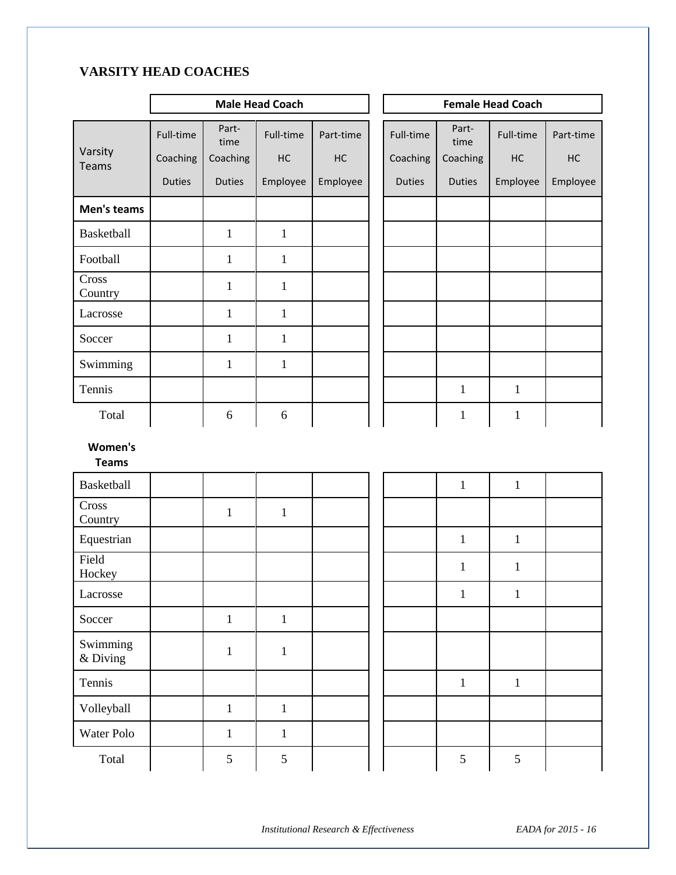# **VARSITY HEAD COACHES**

|                         | <b>Male Head Coach</b> |               |              |           | <b>Female Head Coach</b> |               |              |           |  |  |
|-------------------------|------------------------|---------------|--------------|-----------|--------------------------|---------------|--------------|-----------|--|--|
|                         | Full-time              | Part-<br>time | Full-time    | Part-time | Full-time                | Part-<br>time | Full-time    | Part-time |  |  |
| Varsity<br>Teams        | Coaching               | Coaching      | HC           | HC        | Coaching                 | Coaching      | HC           | HC        |  |  |
|                         | <b>Duties</b>          | <b>Duties</b> | Employee     | Employee  | <b>Duties</b>            | <b>Duties</b> | Employee     | Employee  |  |  |
| Men's teams             |                        |               |              |           |                          |               |              |           |  |  |
| Basketball              |                        | $\mathbf{1}$  | $\mathbf{1}$ |           |                          |               |              |           |  |  |
| Football                |                        | $\mathbf{1}$  | $\mathbf{1}$ |           |                          |               |              |           |  |  |
| Cross<br>Country        |                        | $\mathbf{1}$  | $\mathbf{1}$ |           |                          |               |              |           |  |  |
| Lacrosse                |                        | $\mathbf{1}$  | $\mathbf{1}$ |           |                          |               |              |           |  |  |
| Soccer                  |                        | $\mathbf{1}$  | $\mathbf{1}$ |           |                          |               |              |           |  |  |
| Swimming                |                        | $\mathbf{1}$  | $\mathbf{1}$ |           |                          |               |              |           |  |  |
| Tennis                  |                        |               |              |           |                          | $\mathbf{1}$  | $\mathbf{1}$ |           |  |  |
| Total                   |                        | 6             | 6            |           |                          | $\mathbf{1}$  | $\mathbf{1}$ |           |  |  |
| Women's<br><b>Teams</b> |                        |               |              |           |                          |               |              |           |  |  |
| <b>Basketball</b>       |                        |               |              |           |                          | $\mathbf{1}$  | $\mathbf{1}$ |           |  |  |
| Cross<br>Country        |                        | $\mathbf{1}$  | $\mathbf{1}$ |           |                          |               |              |           |  |  |
| Equestrian              |                        |               |              |           |                          | $\mathbf{1}$  | $\mathbf{1}$ |           |  |  |
| Field<br>Hockey         |                        |               |              |           |                          | $\mathbf{1}$  | $\mathbf{1}$ |           |  |  |
| Lacrosse                |                        |               |              |           |                          | $\mathbf{1}$  | $\mathbf{1}$ |           |  |  |
| Soccer                  |                        | $\mathbf{1}$  | $\mathbf{1}$ |           |                          |               |              |           |  |  |
| Swimming<br>& Diving    |                        | $\mathbf{1}$  | $\mathbf{1}$ |           |                          |               |              |           |  |  |
| Tennis                  |                        |               |              |           |                          | $\mathbf{1}$  | $\mathbf{1}$ |           |  |  |
| Volleyball              |                        | $\mathbf{1}$  | $1\,$        |           |                          |               |              |           |  |  |
| Water Polo              |                        | $\mathbf{1}$  | $\mathbf{1}$ |           |                          |               |              |           |  |  |
| Total                   |                        | 5             | 5            |           |                          | 5             | 5            |           |  |  |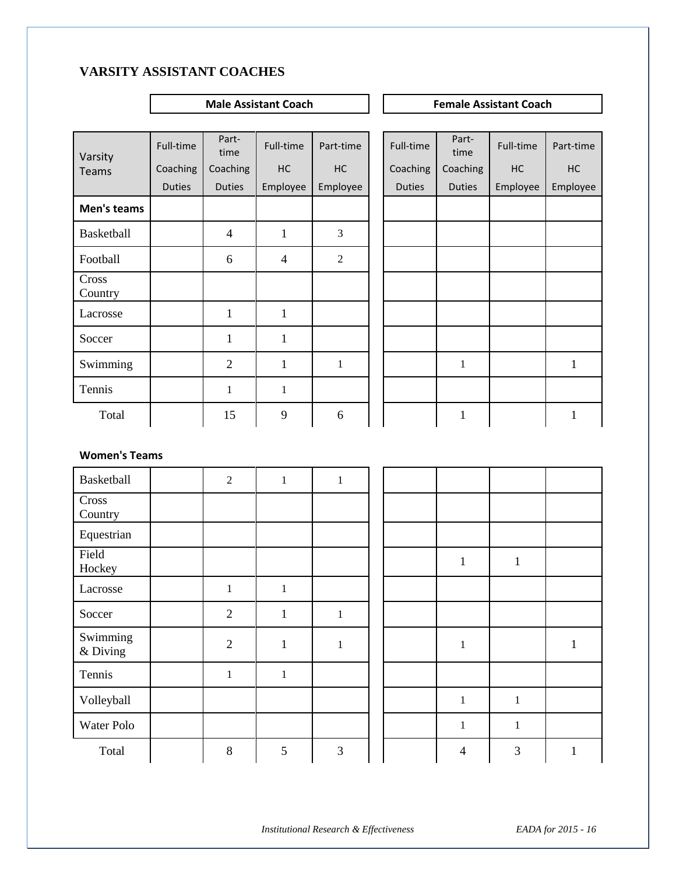# **VARSITY ASSISTANT COACHES**

## **Male Assistant Coach Female Assistant Coach**

| Varsity          | Full-time     | Part-<br>time  | Full-time      | Part-time        | Full-time     | Part-<br>time | Full-time | Part-time |
|------------------|---------------|----------------|----------------|------------------|---------------|---------------|-----------|-----------|
| <b>Teams</b>     | Coaching      | Coaching       | HC             | HC               | Coaching      | Coaching      | HC        | HC        |
|                  | <b>Duties</b> | <b>Duties</b>  | Employee       | Employee         | <b>Duties</b> | <b>Duties</b> | Employee  | Employee  |
| Men's teams      |               |                |                |                  |               |               |           |           |
| Basketball       |               | $\overline{4}$ | $\mathbf{1}$   | 3                |               |               |           |           |
| Football         |               | 6              | $\overline{4}$ | $\boldsymbol{2}$ |               |               |           |           |
| Cross<br>Country |               |                |                |                  |               |               |           |           |
| Lacrosse         |               | $\mathbf{1}$   | $\mathbf{1}$   |                  |               |               |           |           |
| Soccer           |               | $\mathbf{1}$   | $\mathbf{1}$   |                  |               |               |           |           |
| Swimming         |               | $\overline{2}$ | 1              | $\mathbf{1}$     |               | $\mathbf{1}$  |           | 1         |
| Tennis           |               | $\mathbf{1}$   | $\mathbf{1}$   |                  |               |               |           |           |
| Total            |               | 15             | 9              | 6                |               |               |           |           |

| ty                   | Full-time     | Part-<br>time  | Full-time      | Part-time    | Full-time     | Part-<br>time | Full-time | Part-time    |
|----------------------|---------------|----------------|----------------|--------------|---------------|---------------|-----------|--------------|
| าร                   | Coaching      | Coaching       | HC             | HC           | Coaching      | Coaching      | HC        | HC           |
|                      | <b>Duties</b> | <b>Duties</b>  | Employee       | Employee     | <b>Duties</b> | <b>Duties</b> | Employee  | Employee     |
| 's teams             |               |                |                |              |               |               |           |              |
| etball               |               | $\overline{4}$ | 1              | 3            |               |               |           |              |
| ball                 |               | 6              | $\overline{4}$ | $\sqrt{2}$   |               |               |           |              |
| $\mathbf{s}$<br>itry |               |                |                |              |               |               |           |              |
| osse                 |               | $\mathbf{1}$   | $\mathbf{1}$   |              |               |               |           |              |
| er                   |               | $\mathbf{1}$   | $\mathbf{1}$   |              |               |               |           |              |
| aming                |               | $\overline{2}$ | $\mathbf{1}$   | $\mathbf{1}$ |               | $\mathbf{1}$  |           | $\mathbf{1}$ |
| is                   |               | $\mathbf{1}$   | $\mathbf{1}$   |              |               |               |           |              |
| <b>Total</b>         |               | 15             | 9              | 6            |               | $\mathbf{1}$  |           | 1            |

## **Women's Teams**

| Basketball           | $\boldsymbol{2}$ | $\mathbf{1}$ | $\mathbf{1}$ |  |                |              |  |
|----------------------|------------------|--------------|--------------|--|----------------|--------------|--|
| Cross<br>Country     |                  |              |              |  |                |              |  |
| Equestrian           |                  |              |              |  |                |              |  |
| Field<br>Hockey      |                  |              |              |  | $\mathbf{1}$   | $\mathbf{1}$ |  |
| Lacrosse             | $\mathbf{1}$     | $\mathbf{1}$ |              |  |                |              |  |
| Soccer               | $\overline{2}$   | $\mathbf{1}$ | $\mathbf{1}$ |  |                |              |  |
| Swimming<br>& Diving | $\overline{2}$   | $\mathbf{1}$ | $\mathbf{1}$ |  | $\mathbf{1}$   |              |  |
| Tennis               | $\mathbf{1}$     | $\mathbf{1}$ |              |  |                |              |  |
| Volleyball           |                  |              |              |  | $\mathbf{1}$   | $\mathbf{1}$ |  |
| Water Polo           |                  |              |              |  | $\mathbf{1}$   | 1            |  |
| Total                | $\,8\,$          | 5            | 3            |  | $\overline{4}$ | 3            |  |